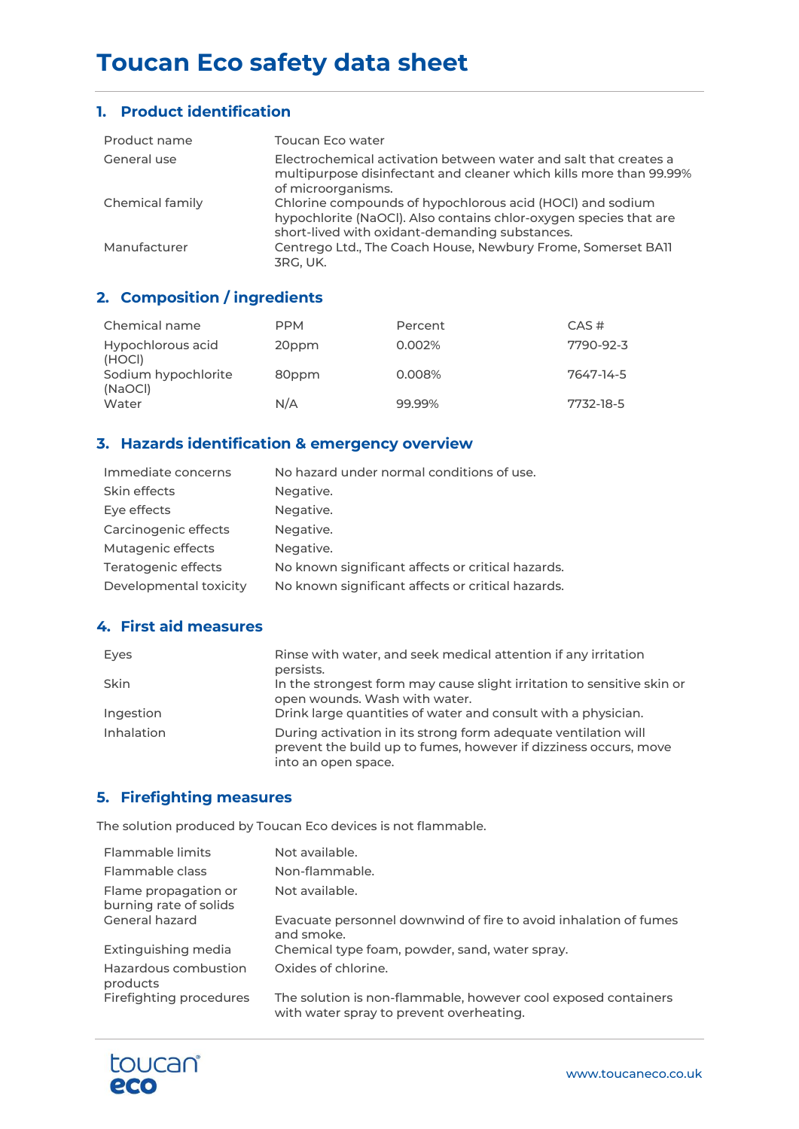# **Toucan Eco safety data sheet**

#### **1. Product identification**

| Product name    | Toucan Eco water                                                                                                                                                                 |
|-----------------|----------------------------------------------------------------------------------------------------------------------------------------------------------------------------------|
| General use     | Electrochemical activation between water and salt that creates a<br>multipurpose disinfectant and cleaner which kills more than 99.99%<br>of microorganisms.                     |
| Chemical family | Chlorine compounds of hypochlorous acid (HOCI) and sodium<br>hypochlorite (NaOCl). Also contains chlor-oxygen species that are<br>short-lived with oxidant-demanding substances. |
| Manufacturer    | Centrego Ltd., The Coach House, Newbury Frome, Somerset BA11<br>3RG. UK.                                                                                                         |

# **2. Composition / ingredients**

| Chemical name                  | <b>PPM</b> | Percent | $CAS \#$  |
|--------------------------------|------------|---------|-----------|
| Hypochlorous acid<br>(HOCI)    | 20ppm      | 0.002%  | 7790-92-3 |
| Sodium hypochlorite<br>(NaOCI) | 80ppm      | 0.008%  | 7647-14-5 |
| Water                          | N/A        | 99.99%  | 7732-18-5 |

## **3. Hazards identification & emergency overview**

| Immediate concerns     | No hazard under normal conditions of use.         |
|------------------------|---------------------------------------------------|
| Skin effects           | Negative.                                         |
| Eye effects            | Negative.                                         |
| Carcinogenic effects   | Negative.                                         |
| Mutagenic effects      | Negative.                                         |
| Teratogenic effects    | No known significant affects or critical hazards. |
| Developmental toxicity | No known significant affects or critical hazards. |

## **4. First aid measures**

| Eyes        | Rinse with water, and seek medical attention if any irritation<br>persists.                                                                               |
|-------------|-----------------------------------------------------------------------------------------------------------------------------------------------------------|
| <b>Skin</b> | In the strongest form may cause slight irritation to sensitive skin or<br>open wounds. Wash with water.                                                   |
| Ingestion   | Drink large quantities of water and consult with a physician.                                                                                             |
| Inhalation  | During activation in its strong form adequate ventilation will<br>prevent the build up to fumes, however if dizziness occurs, move<br>into an open space. |

### **5. Firefighting measures**

The solution produced by Toucan Eco devices is not flammable.

| Flammable limits                               | Not available.                                                                                             |
|------------------------------------------------|------------------------------------------------------------------------------------------------------------|
| Flammable class                                | Non-flammable.                                                                                             |
| Flame propagation or<br>burning rate of solids | Not available.                                                                                             |
| General hazard                                 | Evacuate personnel downwind of fire to avoid inhalation of fumes<br>and smoke.                             |
| Extinguishing media                            | Chemical type foam, powder, sand, water spray.                                                             |
| Hazardous combustion<br>products               | Oxides of chlorine.                                                                                        |
| Firefighting procedures                        | The solution is non-flammable, however cool exposed containers<br>with water spray to prevent overheating. |

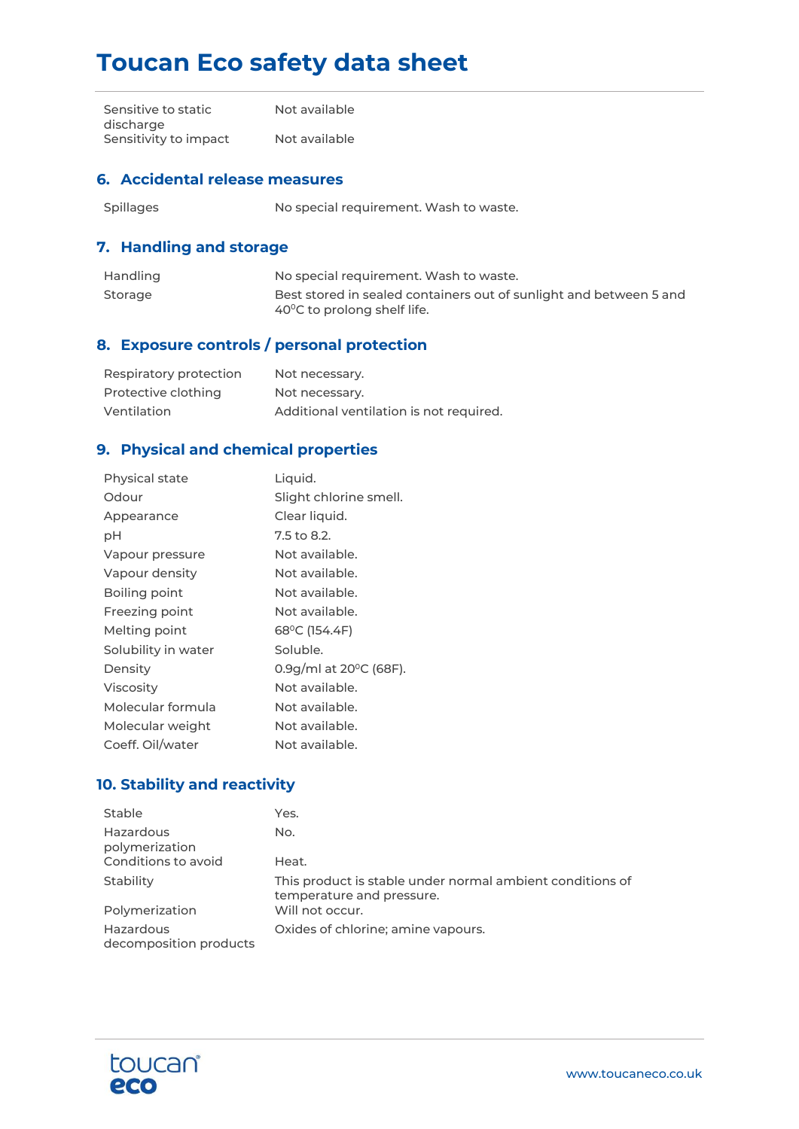# **Toucan Eco safety data sheet**

| Sensitive to static   | Not available |
|-----------------------|---------------|
| discharge             |               |
| Sensitivity to impact | Not available |

#### **6. Accidental release measures**

Spillages Mo special requirement. Wash to waste.

## **7. Handling and storage**

| Handling | No special requirement. Wash to waste.                                                                      |
|----------|-------------------------------------------------------------------------------------------------------------|
| Storage  | Best stored in sealed containers out of sunlight and between 5 and<br>$40^{\circ}$ C to prolong shelf life. |

# **8. Exposure controls / personal protection**

| Respiratory protection | Not necessary.                          |
|------------------------|-----------------------------------------|
| Protective clothing    | Not necessary.                          |
| Ventilation            | Additional ventilation is not required. |

# **9. Physical and chemical properties**

| Physical state      | Liquid.                |
|---------------------|------------------------|
| Odour               | Slight chlorine smell. |
| Appearance          | Clear liquid.          |
| рH                  | 7.5 to 8.2.            |
| Vapour pressure     | Not available.         |
| Vapour density      | Not available.         |
| Boiling point       | Not available.         |
| Freezing point      | Not available.         |
| Melting point       | 68°C (154.4F)          |
| Solubility in water | Soluble.               |
| Density             | 0.9g/ml at 20°C (68F). |
| <b>Viscosity</b>    | Not available.         |
| Molecular formula   | Not available.         |
| Molecular weight    | Not available.         |
| Coeff. Oil/water    | Not available.         |

## **10. Stability and reactivity**

| Stable                              | Yes.                                                                                   |
|-------------------------------------|----------------------------------------------------------------------------------------|
| Hazardous<br>polymerization         | No.                                                                                    |
| Conditions to avoid                 | Heat.                                                                                  |
| Stability                           | This product is stable under normal ambient conditions of<br>temperature and pressure. |
| Polymerization                      | Will not occur.                                                                        |
| Hazardous<br>decomposition products | Oxides of chlorine; amine vapours.                                                     |